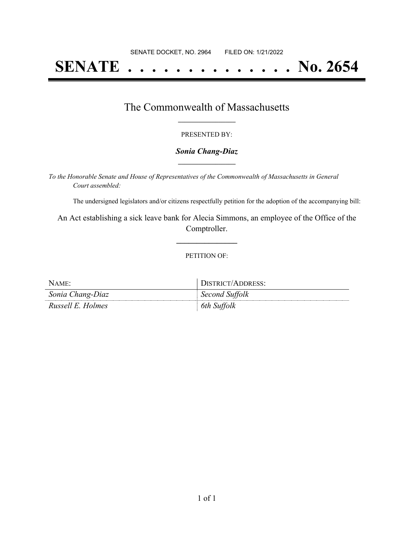# **SENATE . . . . . . . . . . . . . . No. 2654**

## The Commonwealth of Massachusetts **\_\_\_\_\_\_\_\_\_\_\_\_\_\_\_\_\_**

#### PRESENTED BY:

#### *Sonia Chang-Diaz* **\_\_\_\_\_\_\_\_\_\_\_\_\_\_\_\_\_**

*To the Honorable Senate and House of Representatives of the Commonwealth of Massachusetts in General Court assembled:*

The undersigned legislators and/or citizens respectfully petition for the adoption of the accompanying bill:

An Act establishing a sick leave bank for Alecia Simmons, an employee of the Office of the Comptroller.

**\_\_\_\_\_\_\_\_\_\_\_\_\_\_\_**

#### PETITION OF:

| NAME:             | DISTRICT/ADDRESS: |
|-------------------|-------------------|
| Sonia Chang-Diaz  | Second Suffolk    |
| Russell E. Holmes | 6th Suffolk       |